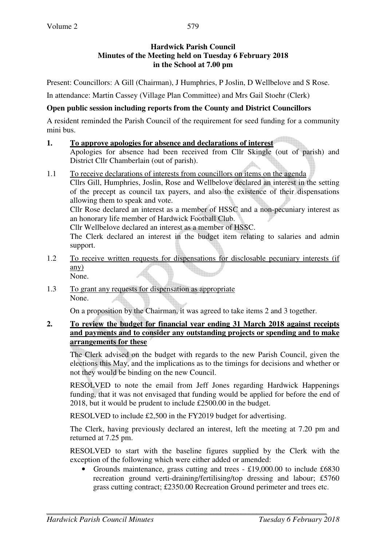# **Hardwick Parish Council Minutes of the Meeting held on Tuesday 6 February 2018 in the School at 7.00 pm**

Present: Councillors: A Gill (Chairman), J Humphries, P Joslin, D Wellbelove and S Rose.

In attendance: Martin Cassey (Village Plan Committee) and Mrs Gail Stoehr (Clerk)

## **Open public session including reports from the County and District Councillors**

A resident reminded the Parish Council of the requirement for seed funding for a community mini bus.

### **1. To approve apologies for absence and declarations of interest**

 Apologies for absence had been received from Cllr Skingle (out of parish) and District Cllr Chamberlain (out of parish).

1.1 To receive declarations of interests from councillors on items on the agenda Cllrs Gill, Humphries, Joslin, Rose and Wellbelove declared an interest in the setting of the precept as council tax payers, and also the existence of their dispensations allowing them to speak and vote.

Cllr Rose declared an interest as a member of HSSC and a non-pecuniary interest as an honorary life member of Hardwick Football Club.

Cllr Wellbelove declared an interest as a member of HSSC.

The Clerk declared an interest in the budget item relating to salaries and admin support.

- 1.2 To receive written requests for dispensations for disclosable pecuniary interests (if any) None.
- 1.3 To grant any requests for dispensation as appropriate None.

On a proposition by the Chairman, it was agreed to take items 2 and 3 together.

## **2. To review the budget for financial year ending 31 March 2018 against receipts and payments and to consider any outstanding projects or spending and to make arrangements for these**

The Clerk advised on the budget with regards to the new Parish Council, given the elections this May, and the implications as to the timings for decisions and whether or not they would be binding on the new Council.

RESOLVED to note the email from Jeff Jones regarding Hardwick Happenings funding, that it was not envisaged that funding would be applied for before the end of 2018, but it would be prudent to include £2500.00 in the budget.

RESOLVED to include £2,500 in the FY2019 budget for advertising.

 The Clerk, having previously declared an interest, left the meeting at 7.20 pm and returned at 7.25 pm.

 RESOLVED to start with the baseline figures supplied by the Clerk with the exception of the following which were either added or amended:

• Grounds maintenance, grass cutting and trees - £19,000.00 to include £6830 recreation ground verti-draining/fertilising/top dressing and labour; £5760 grass cutting contract; £2350.00 Recreation Ground perimeter and trees etc.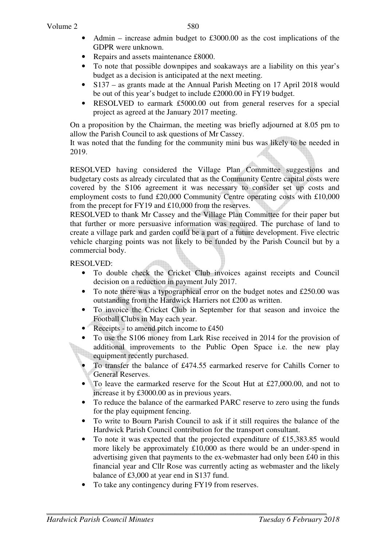- Admin increase admin budget to  $£3000.00$  as the cost implications of the GDPR were unknown.
- Repairs and assets maintenance £8000.
- To note that possible downpipes and soakaways are a liability on this year's budget as a decision is anticipated at the next meeting.
- S137 as grants made at the Annual Parish Meeting on 17 April 2018 would be out of this year's budget to include £2000.00 in FY19 budget.
- RESOLVED to earmark £5000.00 out from general reserves for a special project as agreed at the January 2017 meeting.

On a proposition by the Chairman, the meeting was briefly adjourned at 8.05 pm to allow the Parish Council to ask questions of Mr Cassey.

It was noted that the funding for the community mini bus was likely to be needed in 2019.

RESOLVED having considered the Village Plan Committee suggestions and budgetary costs as already circulated that as the Community Centre capital costs were covered by the S106 agreement it was necessary to consider set up costs and employment costs to fund £20,000 Community Centre operating costs with £10,000 from the precept for FY19 and £10,000 from the reserves.

RESOLVED to thank Mr Cassey and the Village Plan Committee for their paper but that further or more persuasive information was required. The purchase of land to create a village park and garden could be a part of a future development. Five electric vehicle charging points was not likely to be funded by the Parish Council but by a commercial body.

RESOLVED:

- To double check the Cricket Club invoices against receipts and Council decision on a reduction in payment July 2017.
- To note there was a typographical error on the budget notes and  $£250.00$  was outstanding from the Hardwick Harriers not £200 as written.
- To invoice the Cricket Club in September for that season and invoice the Football Clubs in May each year.
- Receipts to amend pitch income to £450
- To use the S106 money from Lark Rise received in 2014 for the provision of additional improvements to the Public Open Space i.e. the new play equipment recently purchased.
- To transfer the balance of £474.55 earmarked reserve for Cahills Corner to General Reserves.
- To leave the earmarked reserve for the Scout Hut at £27,000.00, and not to increase it by £3000.00 as in previous years.
- To reduce the balance of the earmarked PARC reserve to zero using the funds for the play equipment fencing.
- To write to Bourn Parish Council to ask if it still requires the balance of the Hardwick Parish Council contribution for the transport consultant.
- To note it was expected that the projected expenditure of £15,383.85 would more likely be approximately £10,000 as there would be an under-spend in advertising given that payments to the ex-webmaster had only been £40 in this financial year and Cllr Rose was currently acting as webmaster and the likely balance of £3,000 at year end in S137 fund.
- To take any contingency during FY19 from reserves.